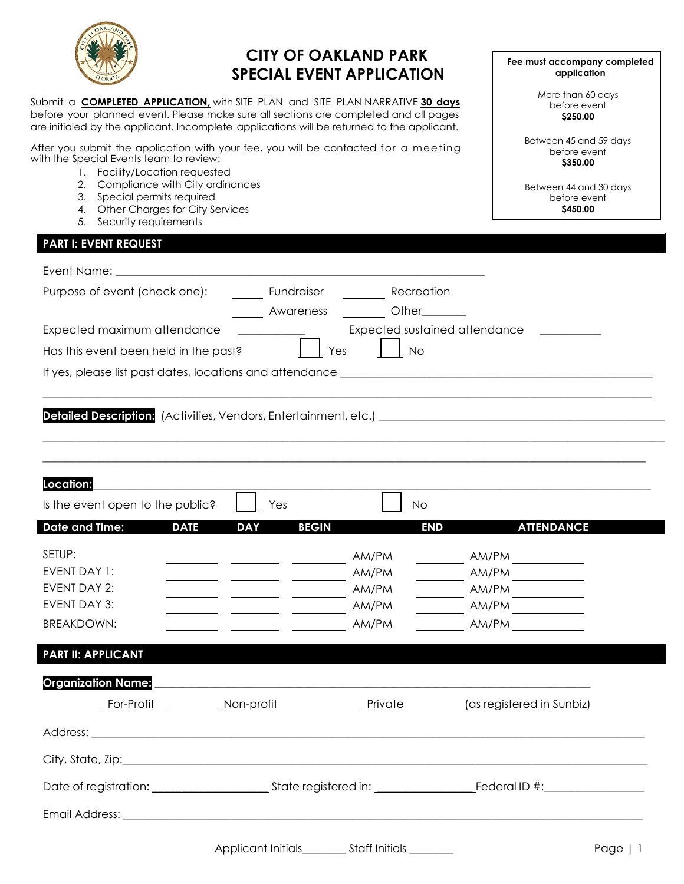

# **CITY OF OAKLAND PARK SPECIAL EVENT APPLICATION**

Submit a **COMPLETED APPLICATION,** with SITE PLAN and SITE PLAN NARRATIVE **30 days** before your planned event. Please make sure all sections are completed and all pages are initialed by the applicant. Incomplete applications will be returned to the applicant.

After you submit the application with your fee, you will be contacted for a meeting with the Special Events team to review:

- 1. Facility/Location requested
- 2. Compliance with City ordinances
- 3. Special permits required
- 4. Other Charges for City Services
- 5. Security requirements

## **PART I: EVENT REQUEST**

Email Address: \_\_\_

| Purpose of event (check one):                           |                            | <b>Fundraiser</b> Recreation |                                 |
|---------------------------------------------------------|----------------------------|------------------------------|---------------------------------|
|                                                         |                            | Awareness Other              |                                 |
| Expected maximum attendance                             |                            |                              | Expected sustained attendance   |
| Has this event been held in the past?                   |                            | Yes<br>  No                  |                                 |
|                                                         |                            |                              |                                 |
|                                                         |                            |                              |                                 |
|                                                         |                            |                              |                                 |
|                                                         |                            |                              |                                 |
|                                                         |                            |                              |                                 |
| Location:                                               |                            |                              |                                 |
| Is the event open to the public?                        | Yes                        | No                           |                                 |
| <b>Date and Time:</b><br><b>DATE</b>                    | <b>DAY</b><br><b>BEGIN</b> |                              | <b>END</b><br><b>ATTENDANCE</b> |
| SETUP:                                                  |                            | AM/PM                        | AM/PM                           |
| EVENT DAY 1:                                            |                            | AM/PM                        | AM/PM                           |
| <b>EVENT DAY 2:</b>                                     |                            | AM/PM                        | $AM/PM$                         |
| <b>EVENT DAY 3:</b>                                     |                            | AM/PM                        | AM/PM                           |
| <b>BREAKDOWN:</b>                                       |                            | AM/PM                        | AM/PM                           |
| <b>PART II: APPLICANT</b>                               |                            |                              |                                 |
| <b>Organization Name:</b>                               |                            |                              |                                 |
| For-Profit __________ Non-profit ______________ Private |                            |                              | (as registered in Sunbiz)       |
|                                                         |                            |                              |                                 |
|                                                         |                            |                              |                                 |
|                                                         |                            |                              |                                 |

**Fee must accompany completed application**

> More than 60 days before event **\$250.00**

Between 45 and 59 days before event **\$350.00**

Between 44 and 30 days before event **\$450.00**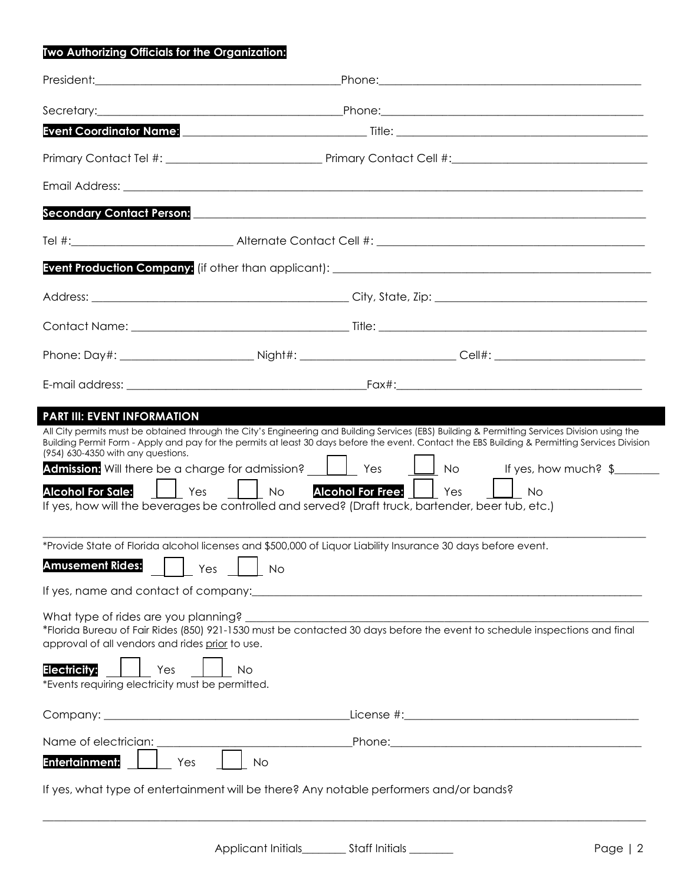## **Two Authorizing Officials for the Organization:**

|                                                                                                                                                                                                                                                       | Event Coordinator Name: <u>Coordinator Name: Coordinate Coordinate Coordinate Coordinator</u>                                                                                                                                                                                                                                                                                                                                                                                                                                                                                                                                                                                                                                                                                                                                              |  |
|-------------------------------------------------------------------------------------------------------------------------------------------------------------------------------------------------------------------------------------------------------|--------------------------------------------------------------------------------------------------------------------------------------------------------------------------------------------------------------------------------------------------------------------------------------------------------------------------------------------------------------------------------------------------------------------------------------------------------------------------------------------------------------------------------------------------------------------------------------------------------------------------------------------------------------------------------------------------------------------------------------------------------------------------------------------------------------------------------------------|--|
|                                                                                                                                                                                                                                                       |                                                                                                                                                                                                                                                                                                                                                                                                                                                                                                                                                                                                                                                                                                                                                                                                                                            |  |
|                                                                                                                                                                                                                                                       |                                                                                                                                                                                                                                                                                                                                                                                                                                                                                                                                                                                                                                                                                                                                                                                                                                            |  |
|                                                                                                                                                                                                                                                       | Secondary Contact Person: entertainment of the second second second second second second second second second                                                                                                                                                                                                                                                                                                                                                                                                                                                                                                                                                                                                                                                                                                                              |  |
|                                                                                                                                                                                                                                                       |                                                                                                                                                                                                                                                                                                                                                                                                                                                                                                                                                                                                                                                                                                                                                                                                                                            |  |
|                                                                                                                                                                                                                                                       |                                                                                                                                                                                                                                                                                                                                                                                                                                                                                                                                                                                                                                                                                                                                                                                                                                            |  |
|                                                                                                                                                                                                                                                       |                                                                                                                                                                                                                                                                                                                                                                                                                                                                                                                                                                                                                                                                                                                                                                                                                                            |  |
|                                                                                                                                                                                                                                                       |                                                                                                                                                                                                                                                                                                                                                                                                                                                                                                                                                                                                                                                                                                                                                                                                                                            |  |
|                                                                                                                                                                                                                                                       |                                                                                                                                                                                                                                                                                                                                                                                                                                                                                                                                                                                                                                                                                                                                                                                                                                            |  |
|                                                                                                                                                                                                                                                       |                                                                                                                                                                                                                                                                                                                                                                                                                                                                                                                                                                                                                                                                                                                                                                                                                                            |  |
|                                                                                                                                                                                                                                                       |                                                                                                                                                                                                                                                                                                                                                                                                                                                                                                                                                                                                                                                                                                                                                                                                                                            |  |
| (954) 630-4350 with any questions.<br><b>Alcohol For Sale:</b><br>$\vert$ $\vert$ Yes<br><b>Amusement Rides:</b><br>approval of all vendors and rides prior to use.<br><b>Electricity:</b><br>Yes<br>*Events requiring electricity must be permitted. | Building Permit Form - Apply and pay for the permits at least 30 days before the event. Contact the EBS Building & Permitting Services Division<br><b>Admission:</b> Will there be a charge for admission? <b>Admission</b> by the state of the set of the set of the set of the set of the set of the set of the set of the set of the set of the set of the set of the set of the set of<br>$\vert$ $\vert$ No<br><b>Alcohol For Free:</b> Yes<br><b>No</b><br>If yes, how will the beverages be controlled and served? (Draft truck, bartender, beer tub, etc.)<br>*Provide State of Florida alcohol licenses and \$500,000 of Liquor Liability Insurance 30 days before event.<br>$Yes \perp$<br>No<br>*Florida Bureau of Fair Rides (850) 921-1530 must be contacted 30 days before the event to schedule inspections and final<br>No |  |
|                                                                                                                                                                                                                                                       |                                                                                                                                                                                                                                                                                                                                                                                                                                                                                                                                                                                                                                                                                                                                                                                                                                            |  |
| Name of electrician:                                                                                                                                                                                                                                  |                                                                                                                                                                                                                                                                                                                                                                                                                                                                                                                                                                                                                                                                                                                                                                                                                                            |  |
| <b>Entertainment:</b><br>Yes                                                                                                                                                                                                                          | <b>No</b>                                                                                                                                                                                                                                                                                                                                                                                                                                                                                                                                                                                                                                                                                                                                                                                                                                  |  |
|                                                                                                                                                                                                                                                       | If yes, what type of entertainment will be there? Any notable performers and/or bands?                                                                                                                                                                                                                                                                                                                                                                                                                                                                                                                                                                                                                                                                                                                                                     |  |
|                                                                                                                                                                                                                                                       |                                                                                                                                                                                                                                                                                                                                                                                                                                                                                                                                                                                                                                                                                                                                                                                                                                            |  |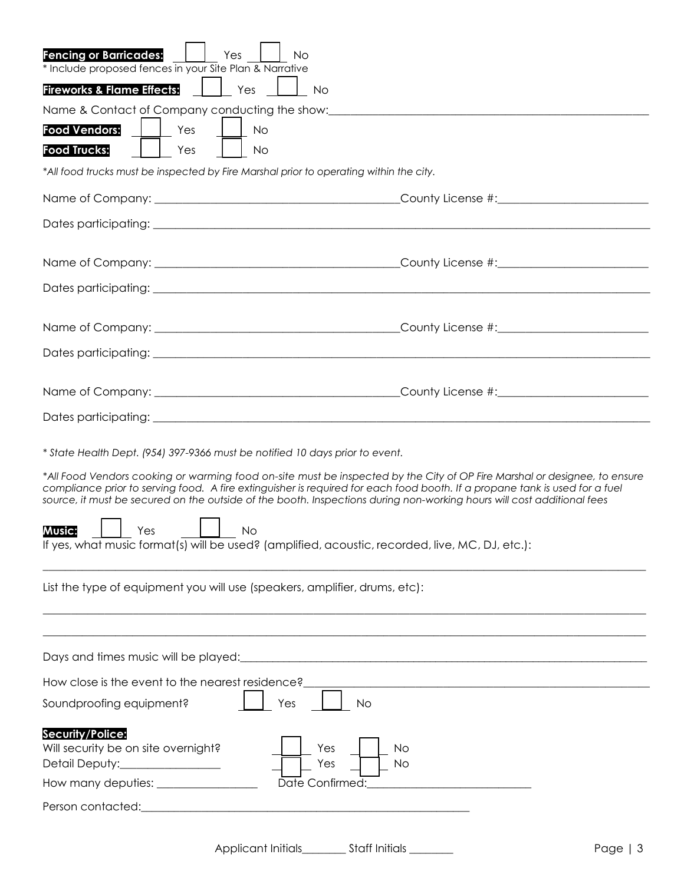| <b>Fencing or Barricades:</b><br>Yes<br>No<br>* Include proposed fences in your Site Plan & Narrative                                                                                                                                                                                                                                                                              |
|------------------------------------------------------------------------------------------------------------------------------------------------------------------------------------------------------------------------------------------------------------------------------------------------------------------------------------------------------------------------------------|
| <b>Fireworks &amp; Flame Effects:</b><br>Yes<br>No                                                                                                                                                                                                                                                                                                                                 |
| Name & Contact of Company conducting the show: _________________________________                                                                                                                                                                                                                                                                                                   |
| <b>Food Vendors:</b><br>Yes<br>No                                                                                                                                                                                                                                                                                                                                                  |
| <b>Food Trucks:</b><br>Yes<br><b>No</b>                                                                                                                                                                                                                                                                                                                                            |
| *All food trucks must be inspected by Fire Marshal prior to operating within the city.                                                                                                                                                                                                                                                                                             |
|                                                                                                                                                                                                                                                                                                                                                                                    |
|                                                                                                                                                                                                                                                                                                                                                                                    |
|                                                                                                                                                                                                                                                                                                                                                                                    |
|                                                                                                                                                                                                                                                                                                                                                                                    |
|                                                                                                                                                                                                                                                                                                                                                                                    |
|                                                                                                                                                                                                                                                                                                                                                                                    |
|                                                                                                                                                                                                                                                                                                                                                                                    |
|                                                                                                                                                                                                                                                                                                                                                                                    |
|                                                                                                                                                                                                                                                                                                                                                                                    |
|                                                                                                                                                                                                                                                                                                                                                                                    |
| * State Health Dept. (954) 397-9366 must be notified 10 days prior to event.                                                                                                                                                                                                                                                                                                       |
| *All Food Vendors cooking or warming food on-site must be inspected by the City of OP Fire Marshal or designee, to ensure<br>compliance prior to serving food. A fire extinguisher is required for each food booth. If a propane tank is used for a fuel<br>source, it must be secured on the outside of the booth. Inspections during non-working hours will cost additional fees |
| <b>Music:</b><br>Yes<br>No<br>If yes, what music format(s) will be used? (amplified, acoustic, recorded, live, MC, DJ, etc.):                                                                                                                                                                                                                                                      |
| List the type of equipment you will use (speakers, amplifier, drums, etc):                                                                                                                                                                                                                                                                                                         |
|                                                                                                                                                                                                                                                                                                                                                                                    |
| Days and times music will be played: [10] and the summary control of the plays and times music will be played:                                                                                                                                                                                                                                                                     |
| How close is the event to the nearest residence?<br><u> 1989 - Johann Stoff, deutscher Stoffen und der Stoffen und der Stoffen und der Stoffen und der Stoffen und der</u>                                                                                                                                                                                                         |
| Soundproofing equipment?<br>Yes<br>No                                                                                                                                                                                                                                                                                                                                              |
| Security/Police:<br>Will security be on site overnight?<br>Yes<br>No<br>Detail Deputy:________________<br>Yes<br><b>No</b>                                                                                                                                                                                                                                                         |
| How many deputies: _________________<br>Date Confirmed:<br><u> 1980 - Johann Barnett, fransk politik (</u>                                                                                                                                                                                                                                                                         |
| Person contacted:<br><u> 1980 - Jan Barbara, martxa al II-lea (h. 1980).</u>                                                                                                                                                                                                                                                                                                       |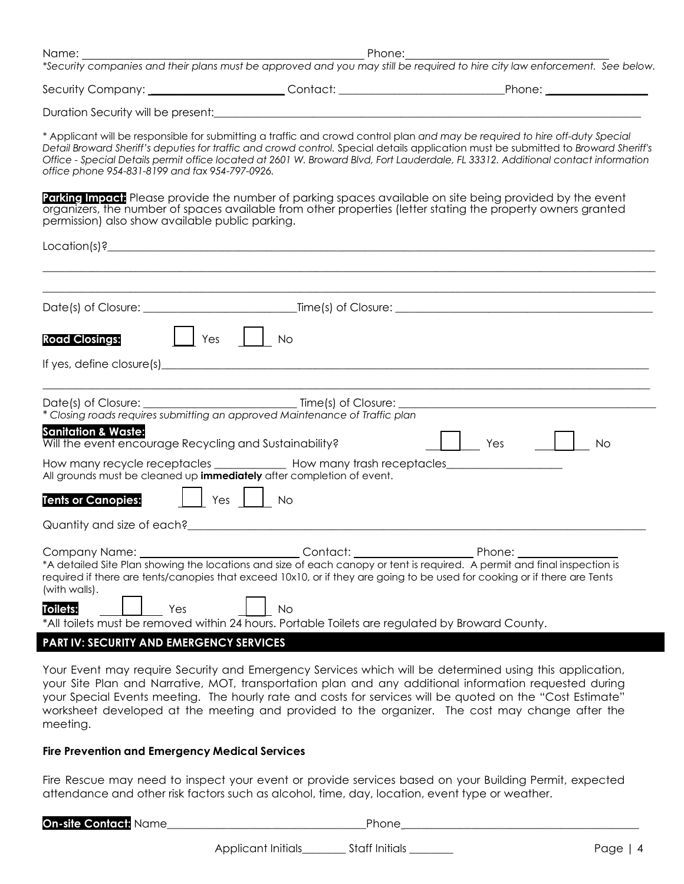|                                                                                          |                                                                                                                                                                                                                                                                                                                                                                              | Security Company: _______________________Contact: _______________________________Phone: _____________________                                                                                                                                                                                                                                                                                            |
|------------------------------------------------------------------------------------------|------------------------------------------------------------------------------------------------------------------------------------------------------------------------------------------------------------------------------------------------------------------------------------------------------------------------------------------------------------------------------|----------------------------------------------------------------------------------------------------------------------------------------------------------------------------------------------------------------------------------------------------------------------------------------------------------------------------------------------------------------------------------------------------------|
|                                                                                          | Duration Security will be present: example and a series of the series of the series of the series of the series of the series of the series of the series of the series of the series of the series of the series of the serie                                                                                                                                               |                                                                                                                                                                                                                                                                                                                                                                                                          |
| office phone 954-831-8199 and fax 954-797-0926.                                          |                                                                                                                                                                                                                                                                                                                                                                              | * Applicant will be responsible for submitting a traffic and crowd control plan and may be required to hire off-duty Special<br>Detail Broward Sheriff's deputies for traffic and crowd control. Special details application must be submitted to Broward Sheriff's<br>Office - Special Details permit office located at 2601 W. Broward Blvd, Fort Lauderdale, FL 33312. Additional contact information |
| permission) also show available public parking.                                          |                                                                                                                                                                                                                                                                                                                                                                              | <b>Parking Impact:</b> Please provide the number of parking spaces available on site being provided by the event<br>organizers, the number of spaces available from other properties (letter stating the property owners granted                                                                                                                                                                         |
|                                                                                          |                                                                                                                                                                                                                                                                                                                                                                              |                                                                                                                                                                                                                                                                                                                                                                                                          |
|                                                                                          |                                                                                                                                                                                                                                                                                                                                                                              |                                                                                                                                                                                                                                                                                                                                                                                                          |
|                                                                                          |                                                                                                                                                                                                                                                                                                                                                                              |                                                                                                                                                                                                                                                                                                                                                                                                          |
|                                                                                          |                                                                                                                                                                                                                                                                                                                                                                              |                                                                                                                                                                                                                                                                                                                                                                                                          |
| $\vert$ $\vert$ Yes $\vert$ $\vert$<br><b>Road Closings:</b>                             | <b>No</b>                                                                                                                                                                                                                                                                                                                                                                    |                                                                                                                                                                                                                                                                                                                                                                                                          |
|                                                                                          |                                                                                                                                                                                                                                                                                                                                                                              |                                                                                                                                                                                                                                                                                                                                                                                                          |
|                                                                                          |                                                                                                                                                                                                                                                                                                                                                                              |                                                                                                                                                                                                                                                                                                                                                                                                          |
|                                                                                          | * Closing roads requires submitting an approved Maintenance of Traffic plan                                                                                                                                                                                                                                                                                                  |                                                                                                                                                                                                                                                                                                                                                                                                          |
| <b>Sanitation &amp; Waste:</b><br>Will the event encourage Recycling and Sustainability? |                                                                                                                                                                                                                                                                                                                                                                              | Yes<br><b>No</b>                                                                                                                                                                                                                                                                                                                                                                                         |
| All grounds must be cleaned up immediately after completion of event.                    | How many recycle receptacles _____________ How many trash receptacles____________                                                                                                                                                                                                                                                                                            |                                                                                                                                                                                                                                                                                                                                                                                                          |
| <b>Tents or Canopies:</b>                                                                | $Yes$    <br><b>No</b>                                                                                                                                                                                                                                                                                                                                                       |                                                                                                                                                                                                                                                                                                                                                                                                          |
|                                                                                          | Quantity and size of each?<br>and the contract of the contract of the contract of the contract of the contract of the contract of the contract of the contract of the contract of the contract of the contract of the contract o                                                                                                                                             |                                                                                                                                                                                                                                                                                                                                                                                                          |
| Company Name:<br>(with walls).<br>Toilets:<br>Yes                                        | Contact:<br>*A detailed Site Plan showing the locations and size of each canopy or tent is required. A permit and final inspection is<br>required if there are tents/canopies that exceed 10x10, or if they are going to be used for cooking or if there are Tents<br>No.<br>*All toilets must be removed within 24 hours. Portable Toilets are regulated by Broward County. | Phone:                                                                                                                                                                                                                                                                                                                                                                                                   |
| <b>PART IV: SECURITY AND EMERGENCY SERVICES</b>                                          |                                                                                                                                                                                                                                                                                                                                                                              |                                                                                                                                                                                                                                                                                                                                                                                                          |

Your Event may require Security and Emergency Services which will be determined using this application, your Site Plan and Narrative, MOT, transportation plan and any additional information requested during your Special Events meeting. The hourly rate and costs for services will be quoted on the "Cost Estimate" worksheet developed at the meeting and provided to the organizer. The cost may change after the meeting.

#### **Fire Prevention and Emergency Medical Services**

Fire Rescue may need to inspect your event or provide services based on your Building Permit, expected attendance and other risk factors such as alcohol, time, day, location, event type or weather.

| <b>On-site Contact: Name</b> |                    | Phone          |           |
|------------------------------|--------------------|----------------|-----------|
|                              | Applicant Initials | Staff Initials | Page $ 4$ |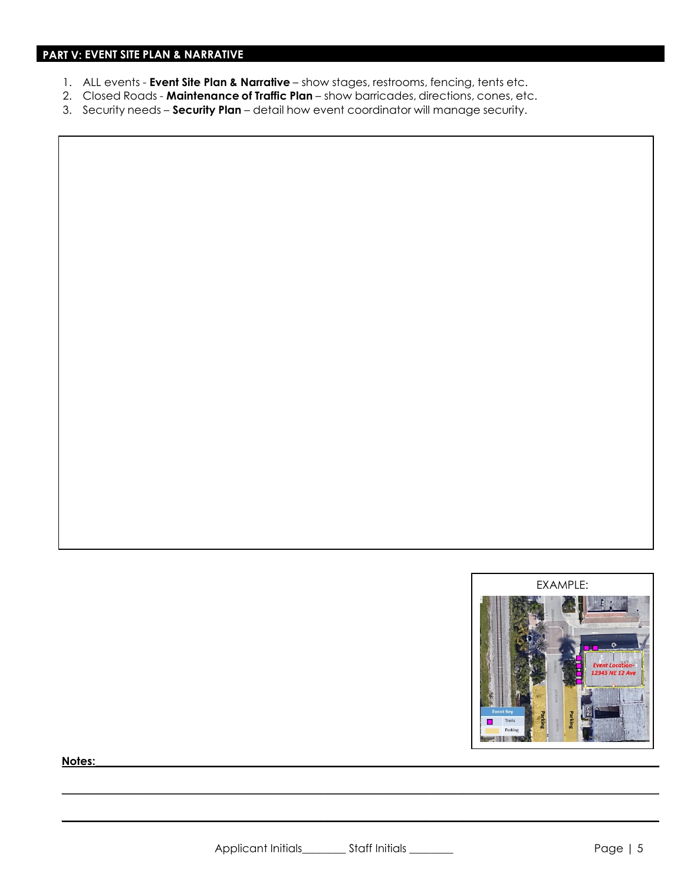- 1. ALL events **Event Site Plan & Narrative**  show stages, restrooms, fencing, tents etc.
- 2. Closed Roads **Maintenance of Traffic Plan**  show barricades, directions, cones, etc.
- 3. Security needs **Security Plan**  detail how event coordinator will manage security.



**Notes:\_\_\_\_\_\_\_\_\_\_\_\_\_\_\_\_\_\_\_\_\_\_\_\_\_\_\_\_\_\_\_\_\_\_\_\_\_\_\_\_\_\_\_\_\_\_\_\_\_\_\_\_\_\_\_\_\_\_\_\_\_\_\_\_\_\_\_\_\_\_\_\_\_\_\_\_\_\_\_\_\_\_\_\_\_\_\_\_\_\_\_\_\_\_\_\_\_\_\_\_\_**

**\_\_\_\_\_\_\_\_\_\_\_\_\_\_\_\_\_\_\_\_\_\_\_\_\_\_\_\_\_\_\_\_\_\_\_\_\_\_\_\_\_\_\_\_\_\_\_\_\_\_\_\_\_\_\_\_\_\_\_\_\_\_\_\_\_\_\_\_\_\_\_\_\_\_\_\_\_\_\_\_\_\_\_\_\_\_\_\_\_\_\_\_\_\_\_\_\_\_\_\_\_\_\_\_\_\_\_**

**\_\_\_\_\_\_\_\_\_\_\_\_\_\_\_\_\_\_\_\_\_\_\_\_\_\_\_\_\_\_\_\_\_\_\_\_\_\_\_\_\_\_\_\_\_\_\_\_\_\_\_\_\_\_\_\_\_\_\_\_\_\_\_\_\_\_\_\_\_\_\_\_\_\_\_\_\_\_\_\_\_\_\_\_\_\_\_\_\_\_\_\_\_\_\_\_\_\_\_\_\_\_\_\_\_\_\_**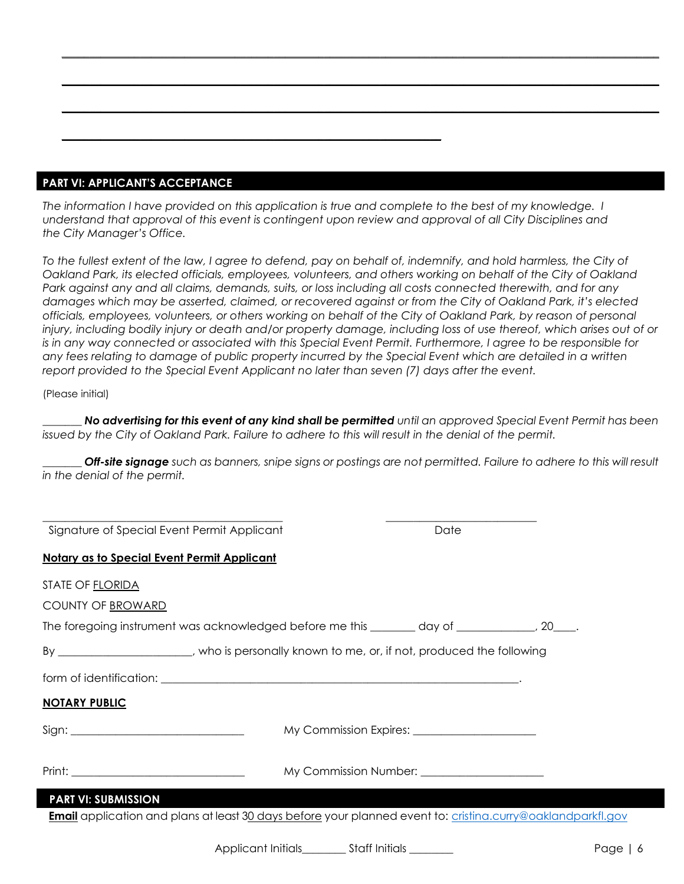### **PART VI: APPLICANT'S ACCEPTANCE**

*The information I have provided on this application is true and complete to the best of my knowledge. I understand that approval of this event is contingent upon review and approval of all City Disciplines and the City Manager's Office.* 

**\_\_\_\_\_\_\_\_\_\_\_\_\_\_\_\_\_\_\_\_\_\_\_\_\_\_\_\_\_\_\_\_\_\_\_\_\_\_\_\_\_\_\_\_\_\_\_\_\_\_\_\_\_\_\_\_\_\_\_\_\_\_\_\_\_\_\_\_**

*To the fullest extent of the law, I agree to defend, pay on behalf of, indemnify, and hold harmless, the City of Oakland Park, its elected officials, employees, volunteers, and others working on behalf of the City of Oakland Park against any and all claims, demands, suits, or loss including all costs connected therewith, and for any damages which may be asserted, claimed, or recovered against or from the City of Oakland Park, it's elected officials, employees, volunteers, or others working on behalf of the City of Oakland Park, by reason of personal injury, including bodily injury or death and/or property damage, including loss of use thereof, which arises out of or is in any way connected or associated with this Special Event Permit. Furthermore, I agree to be responsible for any fees relating to damage of public property incurred by the Special Event which are detailed in a written report provided to the Special Event Applicant no later than seven (7) days after the event.* 

**\_\_\_\_\_\_\_\_\_\_\_\_\_\_\_\_\_\_\_\_\_\_\_\_\_\_\_\_\_\_\_\_\_\_\_\_\_\_\_\_\_\_\_\_\_\_\_\_\_\_\_\_\_\_\_\_\_\_\_\_\_\_\_\_\_\_\_\_\_\_\_\_\_\_\_\_\_\_\_\_\_\_\_\_\_\_\_\_\_\_\_\_\_\_\_\_\_\_\_\_\_\_\_\_\_\_\_**

**\_\_\_\_\_\_\_\_\_\_\_\_\_\_\_\_\_\_\_\_\_\_\_\_\_\_\_\_\_\_\_\_\_\_\_\_\_\_\_\_\_\_\_\_\_\_\_\_\_\_\_\_\_\_\_\_\_\_\_\_\_\_\_\_\_\_\_\_\_\_\_\_\_\_\_\_\_\_\_\_\_\_\_\_\_\_\_\_\_\_\_\_\_\_\_\_\_\_\_\_\_\_\_\_\_\_\_**

**\_\_\_\_\_\_\_\_\_\_\_\_\_\_\_\_\_\_\_\_\_\_\_\_\_\_\_\_\_\_\_\_\_\_\_\_\_\_\_\_\_\_\_\_\_\_\_\_\_\_\_\_\_\_\_\_\_\_\_\_\_\_\_\_\_\_\_\_\_\_\_\_\_\_\_\_\_\_\_\_\_\_\_\_\_\_\_\_\_\_\_\_\_\_\_\_\_\_\_\_\_\_\_\_\_\_\_**

#### (Please initial)

*\_\_\_\_\_\_\_ No advertising for this event of any kind shall be permitted until an approved Special Event Permit has been issued by the City of Oakland Park. Failure to adhere to this will result in the denial of the permit.*

*Off-site signage such as banners, snipe signs or postings are not permitted. Failure to adhere to this will result in the denial of the permit.*

| Signature of Special Event Permit Applicant                                                                                                                                                                                         |                                                  | Date |  |
|-------------------------------------------------------------------------------------------------------------------------------------------------------------------------------------------------------------------------------------|--------------------------------------------------|------|--|
| <b>Notary as to Special Event Permit Applicant</b>                                                                                                                                                                                  |                                                  |      |  |
| <b>STATE OF FLORIDA</b>                                                                                                                                                                                                             |                                                  |      |  |
| <b>COUNTY OF BROWARD</b>                                                                                                                                                                                                            |                                                  |      |  |
| The foregoing instrument was acknowledged before me this _______ day of __________, 20___.                                                                                                                                          |                                                  |      |  |
| By ______________________, who is personally known to me, or, if not, produced the following                                                                                                                                        |                                                  |      |  |
|                                                                                                                                                                                                                                     |                                                  |      |  |
| <b>NOTARY PUBLIC</b>                                                                                                                                                                                                                |                                                  |      |  |
|                                                                                                                                                                                                                                     |                                                  |      |  |
|                                                                                                                                                                                                                                     |                                                  |      |  |
| <b>Print:</b> Print: Print: Print: Print: Print: Print: Print: Print: Print: Print: Print: Print: Print: Print: Print: Print: Print: Print: Print: Print: Print: Print: Print: Print: Print: Print: Print: Print: Print: Print: Pri | My Commission Number: 2008 My Commission Number: |      |  |
| <b>PART VI: SUBMISSION</b>                                                                                                                                                                                                          |                                                  |      |  |

Applicant Initials extending the Staff Initials extending the state of the Page | 6